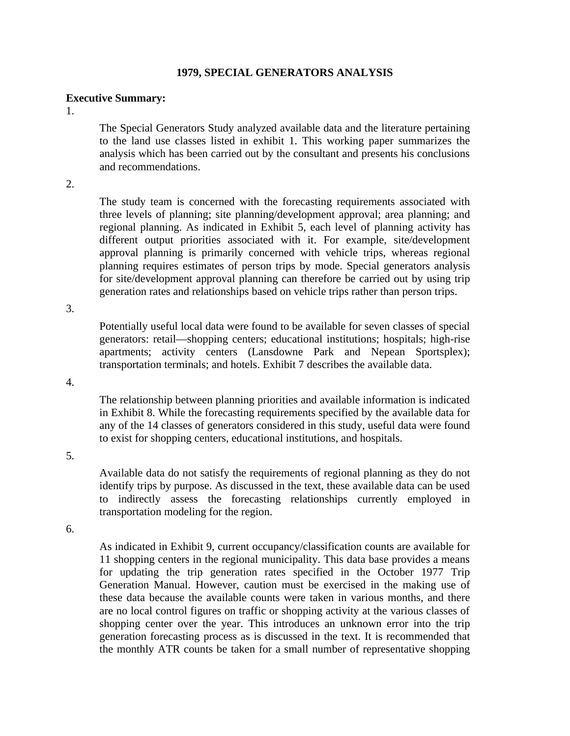## **1979, SPECIAL GENERATORS ANALYSIS**

## **Executive Summary:**

1.

The Special Generators Study analyzed available data and the literature pertaining to the land use classes listed in exhibit 1. This working paper summarizes the analysis which has been carried out by the consultant and presents his conclusions and recommendations.

2.

The study team is concerned with the forecasting requirements associated with three levels of planning; site planning/development approval; area planning; and regional planning. As indicated in Exhibit 5, each level of planning activity has different output priorities associated with it. For example, site/development approval planning is primarily concerned with vehicle trips, whereas regional planning requires estimates of person trips by mode. Special generators analysis for site/development approval planning can therefore be carried out by using trip generation rates and relationships based on vehicle trips rather than person trips.

3.

Potentially useful local data were found to be available for seven classes of special generators: retail—shopping centers; educational institutions; hospitals; high-rise apartments; activity centers (Lansdowne Park and Nepean Sportsplex); transportation terminals; and hotels. Exhibit 7 describes the available data.

4.

The relationship between planning priorities and available information is indicated in Exhibit 8. While the forecasting requirements specified by the available data for any of the 14 classes of generators considered in this study, useful data were found to exist for shopping centers, educational institutions, and hospitals.

5.

Available data do not satisfy the requirements of regional planning as they do not identify trips by purpose. As discussed in the text, these available data can be used to indirectly assess the forecasting relationships currently employed in transportation modeling for the region.

6.

As indicated in Exhibit 9, current occupancy/classification counts are available for 11 shopping centers in the regional municipality. This data base provides a means for updating the trip generation rates specified in the October 1977 Trip Generation Manual. However, caution must be exercised in the making use of these data because the available counts were taken in various months, and there are no local control figures on traffic or shopping activity at the various classes of shopping center over the year. This introduces an unknown error into the trip generation forecasting process as is discussed in the text. It is recommended that the monthly ATR counts be taken for a small number of representative shopping